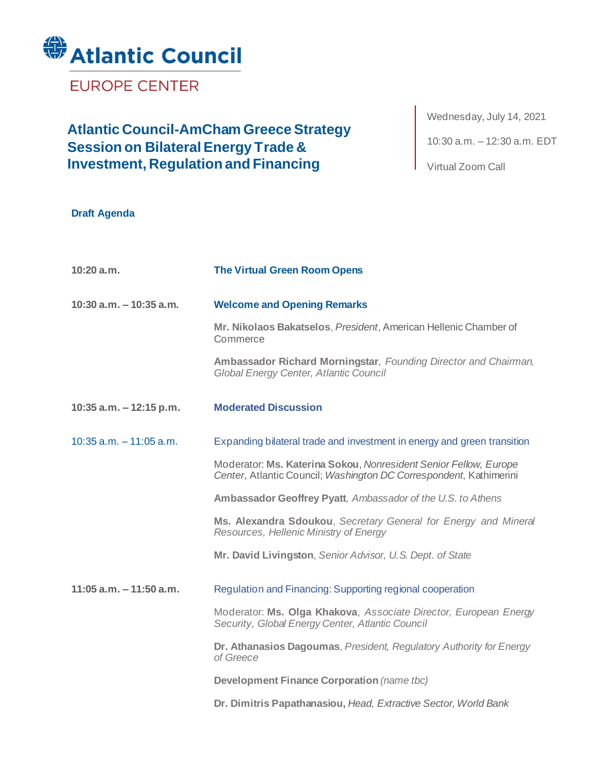

**EUROPE CENTER** 

## **Atlantic Council-AmCham Greece Strategy Session on Bilateral Energy Trade & Investment, Regulation and Financing**

Wednesday, July 14, 2021 10:30 a.m. – 12:30 a.m. EDT

Virtual Zoom Call

|  | <b>Draft Agenda</b> |  |
|--|---------------------|--|
|--|---------------------|--|

| 10:20a.m.                  | <b>The Virtual Green Room Opens</b>                                                                                                    |
|----------------------------|----------------------------------------------------------------------------------------------------------------------------------------|
| $10:30$ a.m. $-10:35$ a.m. | <b>Welcome and Opening Remarks</b>                                                                                                     |
|                            | Mr. Nikolaos Bakatselos, President, American Hellenic Chamber of<br>Commerce                                                           |
|                            | Ambassador Richard Morningstar, Founding Director and Chairman,<br>Global Energy Center, Atlantic Council                              |
| 10:35 a.m. $-12:15$ p.m.   | <b>Moderated Discussion</b>                                                                                                            |
| $10:35$ a.m. $-11:05$ a.m. | Expanding bilateral trade and investment in energy and green transition                                                                |
|                            | Moderator: Ms. Katerina Sokou, Nonresident Senior Fellow, Europe<br>Center, Atlantic Council; Washington DC Correspondent, Kathimerini |
|                            | Ambassador Geoffrey Pyatt, Ambassador of the U.S. to Athens                                                                            |
|                            | Ms. Alexandra Sdoukou, Secretary General for Energy and Mineral<br>Resources, Hellenic Ministry of Energy                              |
|                            | Mr. David Livingston, Senior Advisor, U.S. Dept. of State                                                                              |
| $11:05$ a.m. $-11:50$ a.m. | Regulation and Financing: Supporting regional cooperation                                                                              |
|                            | Moderator: Ms. Olga Khakova, Associate Director, European Energy<br>Security, Global Energy Center, Atlantic Council                   |
|                            | Dr. Athanasios Dagoumas, President, Regulatory Authority for Energy<br>of Greece                                                       |
|                            | Development Finance Corporation (name tbc)                                                                                             |
|                            | Dr. Dimitris Papathanasiou, Head, Extractive Sector, World Bank                                                                        |